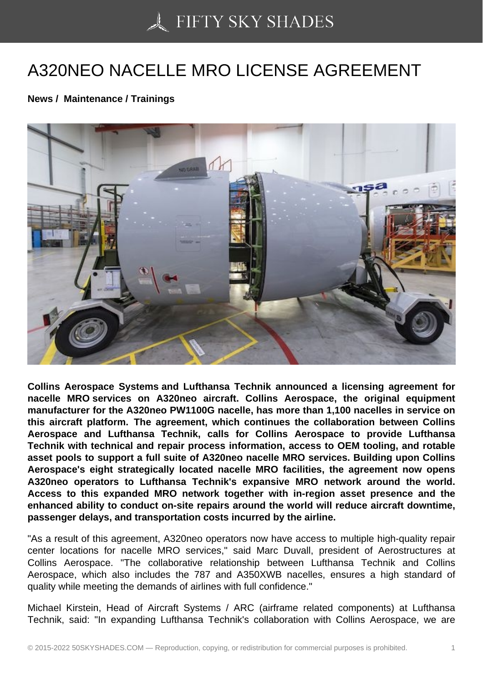## [A320NEO NACELLE M](https://50skyshades.com)RO LICENSE AGREEMENT

News / Maintenance / Trainings

Collins Aerospace Systems and Lufthansa Technik announced a licensing agreement for nacelle MRO services on A320neo aircraft. Collins Aerospace, the original equipment manufacturer for the A320neo PW1100G nacelle, has more than 1,100 nacelles in service on this aircraft platform. The agreement, which continues the collaboration between Collins Aerospace and Lufthansa Technik, calls for Collins Aerospace to provide Lufthansa Technik with technical and repair process information, access to OEM tooling, and rotable asset pools to support a full suite of A320neo nacelle MRO services. Building upon Collins Aerospace's eight strategically located nacelle MRO facilities, the agreement now opens A320neo operators to Lufthansa Technik's expansive MRO network around the world. Access to this expanded MRO network together with in-region asset presence and the enhanced ability to conduct on-site repairs around the world will reduce aircraft downtime, passenger delays, and transportation costs incurred by the airline.

"As a result of this agreement, A320neo operators now have access to multiple high-quality repair center locations for nacelle MRO services," said Marc Duvall, president of Aerostructures at Collins Aerospace. "The collaborative relationship between Lufthansa Technik and Collins Aerospace, which also includes the 787 and A350XWB nacelles, ensures a high standard of quality while meeting the demands of airlines with full confidence."

Michael Kirstein, Head of Aircraft Systems / ARC (airframe related components) at Lufthansa Technik, said: "In expanding Lufthansa Technik's collaboration with Collins Aerospace, we are